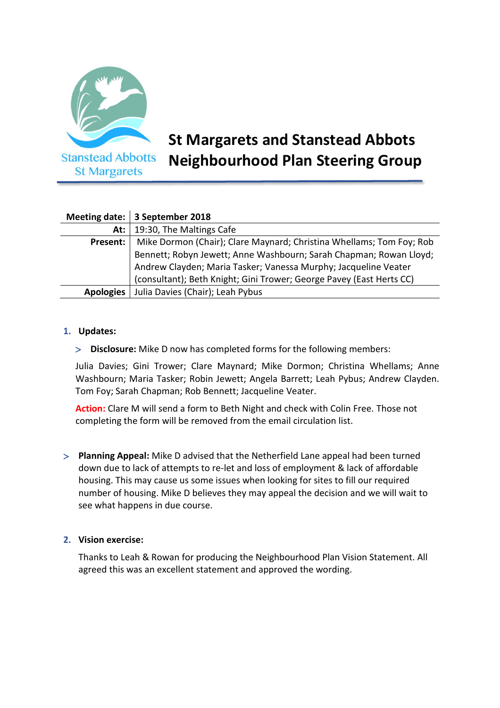

# **St Margarets and Stanstead Abbots Neighbourhood Plan Steering Group**

|                  | Meeting date:   3 September 2018                                     |
|------------------|----------------------------------------------------------------------|
| At: $ $          | 19:30, The Maltings Cafe                                             |
| Present:         | Mike Dormon (Chair); Clare Maynard; Christina Whellams; Tom Foy; Rob |
|                  | Bennett; Robyn Jewett; Anne Washbourn; Sarah Chapman; Rowan Lloyd;   |
|                  | Andrew Clayden; Maria Tasker; Vanessa Murphy; Jacqueline Veater      |
|                  | (consultant); Beth Knight; Gini Trower; George Pavey (East Herts CC) |
| <b>Apologies</b> | Julia Davies (Chair); Leah Pybus                                     |

## **1. Updates:**

**Disclosure:** Mike D now has completed forms for the following members:

Julia Davies; Gini Trower; Clare Maynard; Mike Dormon; Christina Whellams; Anne Washbourn; Maria Tasker; Robin Jewett; Angela Barrett; Leah Pybus; Andrew Clayden. Tom Foy; Sarah Chapman; Rob Bennett; Jacqueline Veater.

**Action:** Clare M will send a form to Beth Night and check with Colin Free. Those not completing the form will be removed from the email circulation list.

 **Planning Appeal:** Mike D advised that the Netherfield Lane appeal had been turned down due to lack of attempts to re-let and loss of employment & lack of affordable housing. This may cause us some issues when looking for sites to fill our required number of housing. Mike D believes they may appeal the decision and we will wait to see what happens in due course.

## **2. Vision exercise:**

Thanks to Leah & Rowan for producing the Neighbourhood Plan Vision Statement. All agreed this was an excellent statement and approved the wording.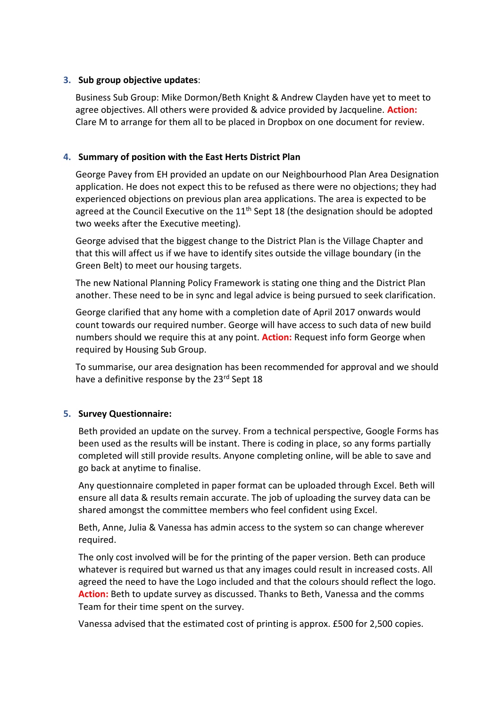# **3. Sub group objective updates**:

Business Sub Group: Mike Dormon/Beth Knight & Andrew Clayden have yet to meet to agree objectives. All others were provided & advice provided by Jacqueline. **Action:** Clare M to arrange for them all to be placed in Dropbox on one document for review.

# **4. Summary of position with the East Herts District Plan**

George Pavey from EH provided an update on our Neighbourhood Plan Area Designation application. He does not expect this to be refused as there were no objections; they had experienced objections on previous plan area applications. The area is expected to be agreed at the Council Executive on the  $11<sup>th</sup>$  Sept 18 (the designation should be adopted two weeks after the Executive meeting).

George advised that the biggest change to the District Plan is the Village Chapter and that this will affect us if we have to identify sites outside the village boundary (in the Green Belt) to meet our housing targets.

The new National Planning Policy Framework is stating one thing and the District Plan another. These need to be in sync and legal advice is being pursued to seek clarification.

George clarified that any home with a completion date of April 2017 onwards would count towards our required number. George will have access to such data of new build numbers should we require this at any point. **Action:** Request info form George when required by Housing Sub Group.

To summarise, our area designation has been recommended for approval and we should have a definitive response by the 23rd Sept 18

## **5. Survey Questionnaire:**

Beth provided an update on the survey. From a technical perspective, Google Forms has been used as the results will be instant. There is coding in place, so any forms partially completed will still provide results. Anyone completing online, will be able to save and go back at anytime to finalise.

Any questionnaire completed in paper format can be uploaded through Excel. Beth will ensure all data & results remain accurate. The job of uploading the survey data can be shared amongst the committee members who feel confident using Excel.

Beth, Anne, Julia & Vanessa has admin access to the system so can change wherever required.

The only cost involved will be for the printing of the paper version. Beth can produce whatever is required but warned us that any images could result in increased costs. All agreed the need to have the Logo included and that the colours should reflect the logo. **Action:** Beth to update survey as discussed. Thanks to Beth, Vanessa and the comms Team for their time spent on the survey.

Vanessa advised that the estimated cost of printing is approx. £500 for 2,500 copies.